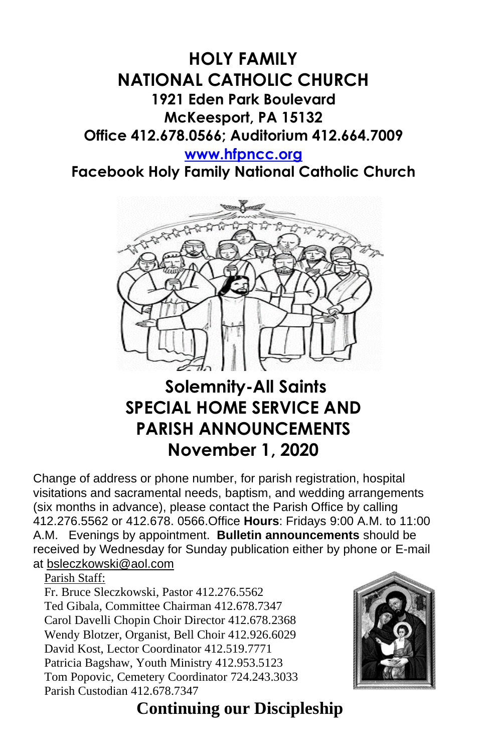### **HOLY FAMILY NATIONAL CATHOLIC CHURCH 1921 Eden Park Boulevard McKeesport, PA 15132 Office 412.678.0566; Auditorium 412.664.7009**

#### **[www.hfpncc.org](http://www.hfpncc.org/)**

**Facebook Holy Family National Catholic Church**



# **Solemnity-All Saints SPECIAL HOME SERVICE AND PARISH ANNOUNCEMENTS November 1, 2020**

Change of address or phone number, for parish registration, hospital visitations and sacramental needs, baptism, and wedding arrangements (six months in advance), please contact the Parish Office by calling 412.276.5562 or 412.678. 0566.Office **Hours**: Fridays 9:00 A.M. to 11:00 A.M. Evenings by appointment. **Bulletin announcements** should be received by Wednesday for Sunday publication either by phone or E-mail at [bsleczkowski@aol.com](mailto:bsleczkowski@aol.com)

Parish Staff:

Fr. Bruce Sleczkowski, Pastor 412.276.5562 Ted Gibala, Committee Chairman 412.678.7347 Carol Davelli Chopin Choir Director 412.678.2368 Wendy Blotzer, Organist, Bell Choir 412.926.6029 David Kost, Lector Coordinator 412.519.7771 Patricia Bagshaw, Youth Ministry 412.953.5123 Tom Popovic, Cemetery Coordinator 724.243.3033 Parish Custodian 412.678.7347



## **Continuing our Discipleship**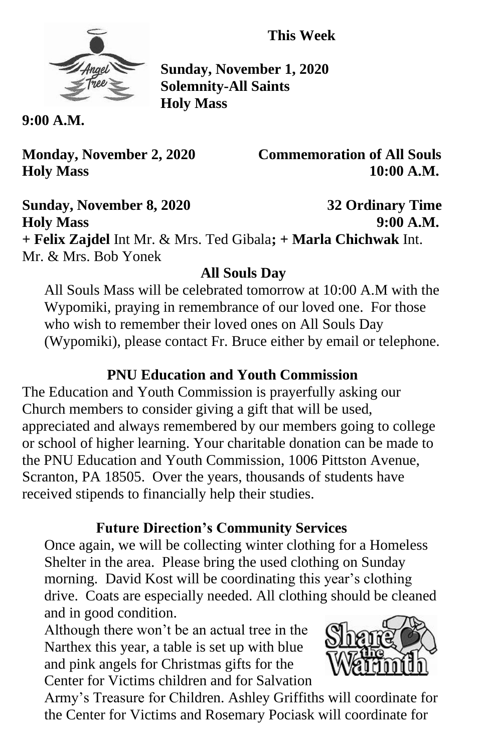**This Week**



**Sunday, November 1, 2020 Solemnity-All Saints Holy Mass** 

**9:00 A.M.**

**Monday, November 2, 2020 Commemoration of All Souls Holy Mass 10:00 A.M.**

**Sunday, November 8, 2020 32 Ordinary Time Holy Mass 9:00 A.M. + Felix Zajdel** Int Mr. & Mrs. Ted Gibala**; + Marla Chichwak** Int. Mr. & Mrs. Bob Yonek

### **All Souls Day**

All Souls Mass will be celebrated tomorrow at 10:00 A.M with the Wypomiki, praying in remembrance of our loved one. For those who wish to remember their loved ones on All Souls Day (Wypomiki), please contact Fr. Bruce either by email or telephone.

#### **PNU Education and Youth Commission**

The Education and Youth Commission is prayerfully asking our Church members to consider giving a gift that will be used, appreciated and always remembered by our members going to college or school of higher learning. Your charitable donation can be made to the PNU Education and Youth Commission, 1006 Pittston Avenue, Scranton, PA 18505. Over the years, thousands of students have received stipends to financially help their studies.

### **Future Direction's Community Services**

Once again, we will be collecting winter clothing for a Homeless Shelter in the area. Please bring the used clothing on Sunday morning. David Kost will be coordinating this year's clothing drive. Coats are especially needed. All clothing should be cleaned and in good condition.

Although there won't be an actual tree in the Narthex this year, a table is set up with blue and pink angels for Christmas gifts for the Center for Victims children and for Salvation



Army's Treasure for Children. Ashley Griffiths will coordinate for the Center for Victims and Rosemary Pociask will coordinate for